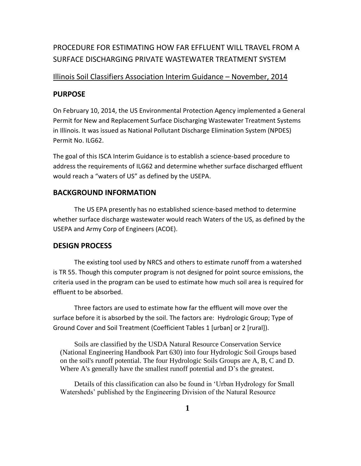# PROCEDURE FOR ESTIMATING HOW FAR EFFLUENT WILL TRAVEL FROM A SURFACE DISCHARGING PRIVATE WASTEWATER TREATMENT SYSTEM

### Illinois Soil Classifiers Association Interim Guidance – November, 2014

### **PURPOSE**

On February 10, 2014, the US Environmental Protection Agency implemented a General Permit for New and Replacement Surface Discharging Wastewater Treatment Systems in Illinois. It was issued as National Pollutant Discharge Elimination System (NPDES) Permit No. II G62.

The goal of this ISCA Interim Guidance is to establish a science-based procedure to address the requirements of ILG62 and determine whether surface discharged effluent would reach a "waters of US" as defined by the USEPA.

### **BACKGROUND INFORMATION**

The US EPA presently has no established science-based method to determine whether surface discharge wastewater would reach Waters of the US, as defined by the USEPA and Army Corp of Engineers (ACOE).

### **DESIGN PROCESS**

The existing tool used by NRCS and others to estimate runoff from a watershed is TR 55. Though this computer program is not designed for point source emissions, the criteria used in the program can be used to estimate how much soil area is required for effluent to be absorbed.

Three factors are used to estimate how far the effluent will move over the surface before it is absorbed by the soil. The factors are: Hydrologic Group; Type of Ground Cover and Soil Treatment (Coefficient Tables 1 [urban] or 2 [rural]).

Soils are classified by the USDA Natural Resource Conservation Service (National Engineering Handbook Part 630) into four Hydrologic Soil Groups based on the soil's runoff potential. The four Hydrologic Soils Groups are A, B, C and D. Where A's generally have the smallest runoff potential and D's the greatest.

Details of this classification can also be found in 'Urban Hydrology for Small Watersheds' published by the Engineering Division of the Natural Resource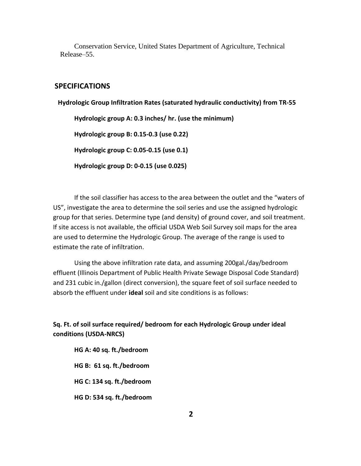Conservation Service, United States Department of Agriculture, Technical Release–55.

### **SPECIFICATIONS**

 **Hydrologic Group Infiltration Rates (saturated hydraulic conductivity) from TR-55**

**Hydrologic group A: 0.3 inches/ hr. (use the minimum)**

**Hydrologic group B: 0.15-0.3 (use 0.22)**

**Hydrologic group C: 0.05-0.15 (use 0.1)**

**Hydrologic group D: 0-0.15 (use 0.025)**

If the soil classifier has access to the area between the outlet and the "waters of US", investigate the area to determine the soil series and use the assigned hydrologic group for that series. Determine type (and density) of ground cover, and soil treatment. If site access is not available, the official USDA Web Soil Survey soil maps for the area are used to determine the Hydrologic Group. The average of the range is used to estimate the rate of infiltration.

Using the above infiltration rate data, and assuming 200gal./day/bedroom effluent (Illinois Department of Public Health Private Sewage Disposal Code Standard) and 231 cubic in./gallon (direct conversion), the square feet of soil surface needed to absorb the effluent under **ideal** soil and site conditions is as follows:

**Sq. Ft. of soil surface required/ bedroom for each Hydrologic Group under ideal conditions (USDA-NRCS)**

**HG A: 40 sq. ft./bedroom HG B: 61 sq. ft./bedroom HG C: 134 sq. ft./bedroom HG D: 534 sq. ft./bedroom**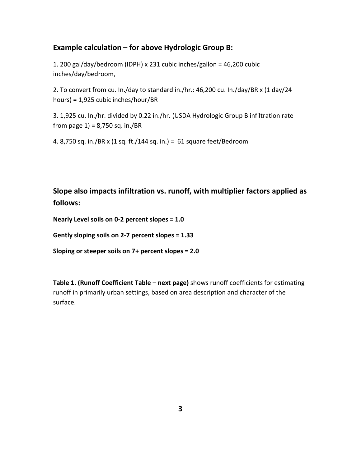## **Example calculation – for above Hydrologic Group B:**

1. 200 gal/day/bedroom (IDPH) x 231 cubic inches/gallon = 46,200 cubic inches/day/bedroom,

2. To convert from cu. In./day to standard in./hr.: 46,200 cu. In./day/BR x (1 day/24 hours) = 1,925 cubic inches/hour/BR

3. 1,925 cu. In./hr. divided by 0.22 in./hr. (USDA Hydrologic Group B infiltration rate from page  $1$ ) = 8,750 sq. in./BR

4. 8,750 sq. in./BR x (1 sq. ft./144 sq. in.) = 61 square feet/Bedroom

**Slope also impacts infiltration vs. runoff, with multiplier factors applied as follows:**

**Nearly Level soils on 0-2 percent slopes = 1.0**

**Gently sloping soils on 2-7 percent slopes = 1.33**

**Sloping or steeper soils on 7+ percent slopes = 2.0**

**Table 1. (Runoff Coefficient Table – next page)** shows runoff coefficients for estimating runoff in primarily urban settings, based on area description and character of the surface.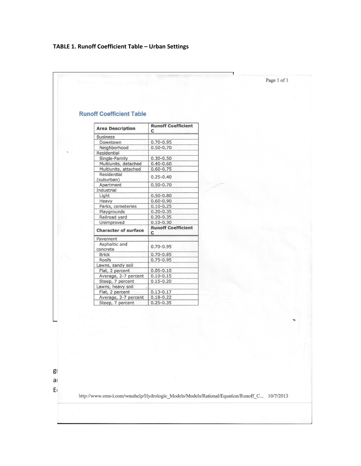# **TABLE 1. Runoff Coefficient Table – Urban Settings**

|  |                                 |                                | Page 1 of 1 |
|--|---------------------------------|--------------------------------|-------------|
|  |                                 |                                |             |
|  |                                 |                                |             |
|  |                                 |                                |             |
|  |                                 |                                |             |
|  |                                 |                                |             |
|  | <b>Runoff Coefficient Table</b> |                                |             |
|  |                                 |                                |             |
|  | <b>Area Description</b>         | <b>Runoff Coefficient</b><br>C |             |
|  | <b>Business</b>                 |                                |             |
|  | Downtown                        | $0.70 - 0.95$                  |             |
|  | Neighborhood                    | $0.50 - 0.70$                  |             |
|  | Residential                     |                                |             |
|  | Single-Family                   | $0.30 - 0.50$                  |             |
|  | Multiunits, detached            | $0.40 - 0.60$                  |             |
|  | Multiunits, attached            | $0.60 - 0.75$                  |             |
|  | Residential<br>(suburban)       | $0.25 - 0.40$                  |             |
|  | Apartment                       | $0.50 - 0.70$                  |             |
|  | Industrial                      |                                |             |
|  | Light                           | $0.50 - 0.80$                  |             |
|  | Heavy                           | $0.60 - 0.90$                  |             |
|  | Parks, cemeteries               | $0.10 - 0.25$                  |             |
|  | Playgrounds                     | $0.20 - 0.35$                  |             |
|  | Railroad yard                   | $0.20 - 0.35$                  |             |
|  | Unimproved                      | $0.10 - 0.30$                  |             |
|  | <b>Character of surface</b>     | <b>Runoff Coefficient</b><br>C |             |
|  | Pavement                        |                                |             |
|  | Asphaltic and                   | $0.70 - 0.95$                  |             |
|  | concrete                        |                                |             |
|  | <b>Brick</b>                    | $0.70 - 0.85$                  |             |
|  | Roofs                           | $0.75 - 0.95$                  |             |
|  | Lawns, sandy soil               |                                |             |
|  | Flat, 2 percent                 | $0.05 - 0.10$                  |             |
|  | Average, 2-7 percent            | $0.10 - 0.15$                  |             |
|  | Steep, 7 percent                | $0.15 - 0.20$                  |             |
|  | Lawns, heavy soil               |                                |             |
|  | Flat, 2 percent                 | $0.13 - 0.17$                  |             |
|  | Average, 2-7 percent            | $0.18 - 0.22$                  |             |
|  | Steen 7 nercent                 | $0.25 - 0.35$                  |             |

 $g_{\rm I}$  and  $S_{\rm I}$  Treatment (farmed on contour, up and down slope, tillage, etc.), up and down slope, etc. are estimated using coefficients from Table 2. (Runoff  $C$  Coefficients for the Rational Coefficients for the Rational Coefficients for the Rational Coefficients for the Rational Coefficients for the Rational Coefficients

Et http://www.ems-i.com/wmshelp/Hydrologic\_Models/Models/Rational/Equation/Runoff\_C... 10/7/2013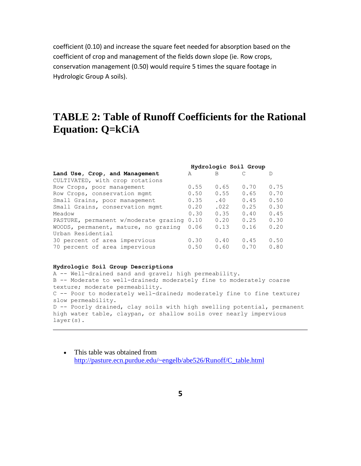coefficient (0.10) and increase the square feet needed for absorption based on the coefficient of crop and management of the fields down slope (ie. Row crops, conservation management (0.50) would require 5 times the square footage in Hydrologic Group A soils).

# **TABLE 2: Table of Runoff Coefficients for the Rational Equation: Q=kCiA**

|                                       | Hydrologic Soil Group |      |      |      |
|---------------------------------------|-----------------------|------|------|------|
| Land Use, Crop, and Management        | A                     | B    |      | Ð    |
| CULTIVATED, with crop rotations       |                       |      |      |      |
| Row Crops, poor management            | 0.55                  | 0.65 | 0.70 | 0.75 |
| Row Crops, conservation mgmt          | 0.50                  | 0.55 | 0.65 | 0.70 |
| Small Grains, poor management         | 0.35                  | .40  | 0.45 | 0.50 |
| Small Grains, conservation mgmt       | 0.20                  | .022 | 0.25 | 0.30 |
| Meadow                                | 0.30                  | 0.35 | 0.40 | 0.45 |
| PASTURE, permanent w/moderate grazing | 0.10                  | 0.20 | 0.25 | 0.30 |
| WOODS, permanent, mature, no grazing  | 0.06                  | 0.13 | 0.16 | 0.20 |
| Urban Residential                     |                       |      |      |      |
| 30 percent of area impervious         | 0.30                  | 0.40 | 0.45 | 0.50 |
| 70 percent of area impervious         | 0.50                  | 0.60 | 0.70 | 0.80 |
|                                       |                       |      |      |      |

#### **Hydrologic Soil Group Descriptions**

```
A -- Well-drained sand and gravel; high permeability.
B -- Moderate to well-drained; moderately fine to moderately coarse 
texture; moderate permeability.
C -- Poor to moderately well-drained; moderately fine to fine texture; 
slow permeability.
D -- Poorly drained, clay soils with high swelling potential, permanent 
high water table, claypan, or shallow soils over nearly impervious 
layer(s).
```
• This table was obtained from [http://pasture.ecn.purdue.edu/~engelb/abe526/Runoff/C\\_table.html](http://pasture.ecn.purdue.edu/~engelb/abe526/Runoff/C_table.html)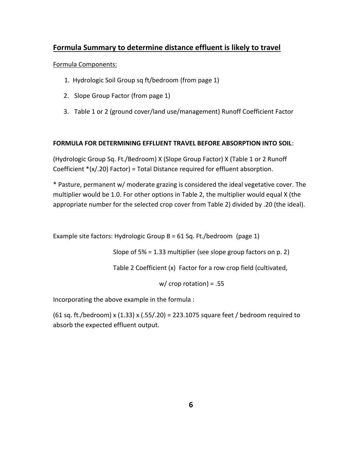# **Formula Summary to determine distance effluent is likely to travel**

### Formula Components:

- 1. Hydrologic Soil Group sq ft/bedroom (from page 1)
- 2. Slope Group Factor (from page 1)
- 3. Table 1 or 2 (ground cover/land use/management) Runoff Coefficient Factor

### **FORMULA FOR DETERMINING EFFLUENT TRAVEL BEFORE ABSORPTION INTO SOIL**:

(Hydrologic Group Sq. Ft./Bedroom) X (Slope Group Factor) X (Table 1 or 2 Runoff Coefficient \*(x/.20) Factor) = Total Distance required for effluent absorption.

\* Pasture, permanent w/ moderate grazing is considered the ideal vegetative cover. The multiplier would be 1.0. For other options in Table 2, the multiplier would equal X (the appropriate number for the selected crop cover from Table 2) divided by .20 (the ideal).

Example site factors: Hydrologic Group B = 61 Sq. Ft./bedroom (page 1)

Slope of 5% = 1.33 multiplier (see slope group factors on p. 2)

Table 2 Coefficient (x) Factor for a row crop field (cultivated,

w/ crop rotation) = .55

Incorporating the above example in the formula :

(61 sq. ft./bedroom) x (1.33) x (.55/.20) = 223.1075 square feet / bedroom required to absorb the expected effluent output.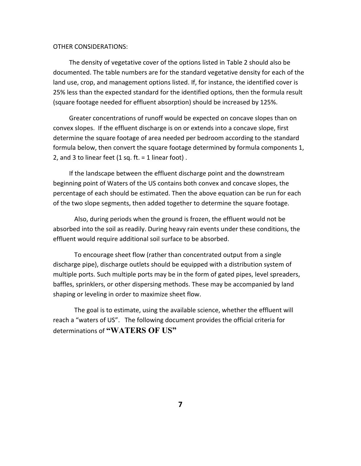#### OTHER CONSIDERATIONS:

 The density of vegetative cover of the options listed in Table 2 should also be documented. The table numbers are for the standard vegetative density for each of the land use, crop, and management options listed. If, for instance, the identified cover is 25% less than the expected standard for the identified options, then the formula result (square footage needed for effluent absorption) should be increased by 125%.

 Greater concentrations of runoff would be expected on concave slopes than on convex slopes. If the effluent discharge is on or extends into a concave slope, first determine the square footage of area needed per bedroom according to the standard formula below, then convert the square footage determined by formula components 1, 2, and 3 to linear feet  $(1 sq. ft. = 1 linear foot)$ .

 If the landscape between the effluent discharge point and the downstream beginning point of Waters of the US contains both convex and concave slopes, the percentage of each should be estimated. Then the above equation can be run for each of the two slope segments, then added together to determine the square footage.

Also, during periods when the ground is frozen, the effluent would not be absorbed into the soil as readily. During heavy rain events under these conditions, the effluent would require additional soil surface to be absorbed.

To encourage sheet flow (rather than concentrated output from a single discharge pipe), discharge outlets should be equipped with a distribution system of multiple ports. Such multiple ports may be in the form of gated pipes, level spreaders, baffles, sprinklers, or other dispersing methods. These may be accompanied by land shaping or leveling in order to maximize sheet flow.

The goal is to estimate, using the available science, whether the effluent will reach a "waters of US". The following document provides the official criteria for determinations of **"WATERS OF US"**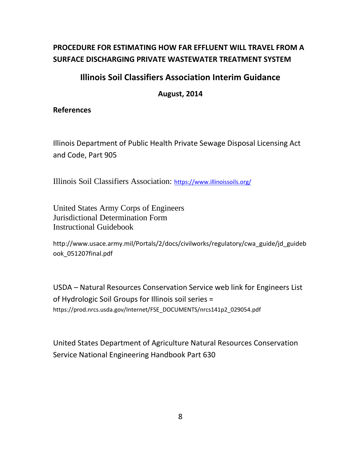# **PROCEDURE FOR ESTIMATING HOW FAR EFFLUENT WILL TRAVEL FROM A SURFACE DISCHARGING PRIVATE WASTEWATER TREATMENT SYSTEM**

# **Illinois Soil Classifiers Association Interim Guidance**

**August, 2014**

# **References**

Illinois Department of Public Health Private Sewage Disposal Licensing Act and Code, Part 905

Illinois Soil Classifiers Association: <https://www.illinoissoils.org/>

United States Army Corps of Engineers Jurisdictional Determination Form Instructional Guidebook

http://www.usace.army.mil/Portals/2/docs/civilworks/regulatory/cwa\_guide/jd\_guideb ook\_051207final.pdf

USDA – Natural Resources Conservation Service web link for Engineers List of Hydrologic Soil Groups for Illinois soil series = https://prod.nrcs.usda.gov/Internet/FSE\_DOCUMENTS/nrcs141p2\_029054.pdf

United States Department of Agriculture Natural Resources Conservation Service National Engineering Handbook Part 630